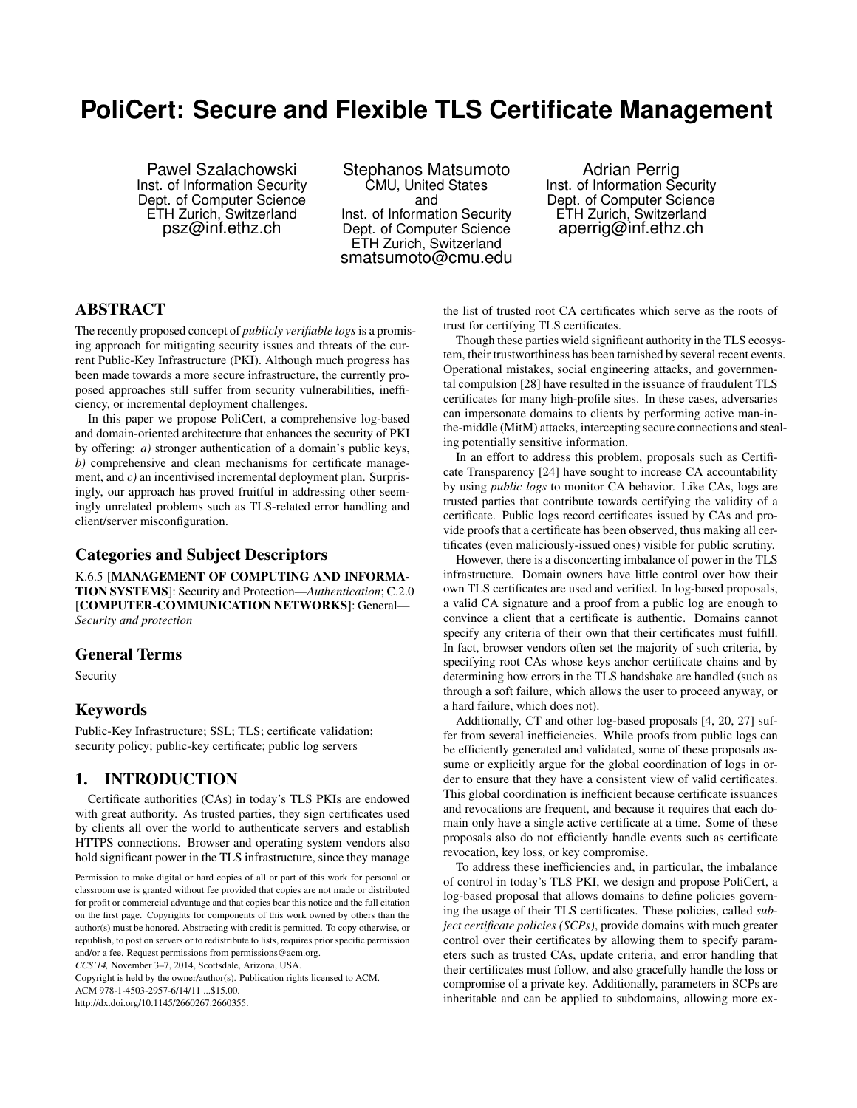# **PoliCert: Secure and Flexible TLS Certificate Management**

Pawel Szalachowski Inst. of Information Security Dept. of Computer Science ETH Zurich, Switzerland psz@inf.ethz.ch

Stephanos Matsumoto CMU, United States and Inst. of Information Security Dept. of Computer Science ETH Zurich, Switzerland smatsumoto@cmu.edu

Adrian Perrig Inst. of Information Security Dept. of Computer Science ETH Zurich, Switzerland aperrig@inf.ethz.ch

# ABSTRACT

The recently proposed concept of *publicly verifiable logs*is a promising approach for mitigating security issues and threats of the current Public-Key Infrastructure (PKI). Although much progress has been made towards a more secure infrastructure, the currently proposed approaches still suffer from security vulnerabilities, inefficiency, or incremental deployment challenges.

In this paper we propose PoliCert, a comprehensive log-based and domain-oriented architecture that enhances the security of PKI by offering: *a)* stronger authentication of a domain's public keys, *b)* comprehensive and clean mechanisms for certificate management, and *c)* an incentivised incremental deployment plan. Surprisingly, our approach has proved fruitful in addressing other seemingly unrelated problems such as TLS-related error handling and client/server misconfiguration.

## Categories and Subject Descriptors

K.6.5 [MANAGEMENT OF COMPUTING AND INFORMA-TION SYSTEMS]: Security and Protection—*Authentication*; C.2.0 [COMPUTER-COMMUNICATION NETWORKS]: General— *Security and protection*

# General Terms

Security

# Keywords

Public-Key Infrastructure; SSL; TLS; certificate validation; security policy; public-key certificate; public log servers

## 1. INTRODUCTION

Certificate authorities (CAs) in today's TLS PKIs are endowed with great authority. As trusted parties, they sign certificates used by clients all over the world to authenticate servers and establish HTTPS connections. Browser and operating system vendors also hold significant power in the TLS infrastructure, since they manage

Copyright is held by the owner/author(s). Publication rights licensed to ACM. ACM 978-1-4503-2957-6/14/11 ...\$15.00.

http://dx.doi.org/10.1145/2660267.2660355.

the list of trusted root CA certificates which serve as the roots of trust for certifying TLS certificates.

Though these parties wield significant authority in the TLS ecosystem, their trustworthiness has been tarnished by several recent events. Operational mistakes, social engineering attacks, and governmental compulsion [28] have resulted in the issuance of fraudulent TLS certificates for many high-profile sites. In these cases, adversaries can impersonate domains to clients by performing active man-inthe-middle (MitM) attacks, intercepting secure connections and stealing potentially sensitive information.

In an effort to address this problem, proposals such as Certificate Transparency [24] have sought to increase CA accountability by using *public logs* to monitor CA behavior. Like CAs, logs are trusted parties that contribute towards certifying the validity of a certificate. Public logs record certificates issued by CAs and provide proofs that a certificate has been observed, thus making all certificates (even maliciously-issued ones) visible for public scrutiny.

However, there is a disconcerting imbalance of power in the TLS infrastructure. Domain owners have little control over how their own TLS certificates are used and verified. In log-based proposals, a valid CA signature and a proof from a public log are enough to convince a client that a certificate is authentic. Domains cannot specify any criteria of their own that their certificates must fulfill. In fact, browser vendors often set the majority of such criteria, by specifying root CAs whose keys anchor certificate chains and by determining how errors in the TLS handshake are handled (such as through a soft failure, which allows the user to proceed anyway, or a hard failure, which does not).

Additionally, CT and other log-based proposals [4, 20, 27] suffer from several inefficiencies. While proofs from public logs can be efficiently generated and validated, some of these proposals assume or explicitly argue for the global coordination of logs in order to ensure that they have a consistent view of valid certificates. This global coordination is inefficient because certificate issuances and revocations are frequent, and because it requires that each domain only have a single active certificate at a time. Some of these proposals also do not efficiently handle events such as certificate revocation, key loss, or key compromise.

To address these inefficiencies and, in particular, the imbalance of control in today's TLS PKI, we design and propose PoliCert, a log-based proposal that allows domains to define policies governing the usage of their TLS certificates. These policies, called *subject certificate policies (SCPs)*, provide domains with much greater control over their certificates by allowing them to specify parameters such as trusted CAs, update criteria, and error handling that their certificates must follow, and also gracefully handle the loss or compromise of a private key. Additionally, parameters in SCPs are inheritable and can be applied to subdomains, allowing more ex-

Permission to make digital or hard copies of all or part of this work for personal or classroom use is granted without fee provided that copies are not made or distributed for profit or commercial advantage and that copies bear this notice and the full citation on the first page. Copyrights for components of this work owned by others than the author(s) must be honored. Abstracting with credit is permitted. To copy otherwise, or republish, to post on servers or to redistribute to lists, requires prior specific permission and/or a fee. Request permissions from permissions@acm.org. *CCS'14,* November 3–7, 2014, Scottsdale, Arizona, USA.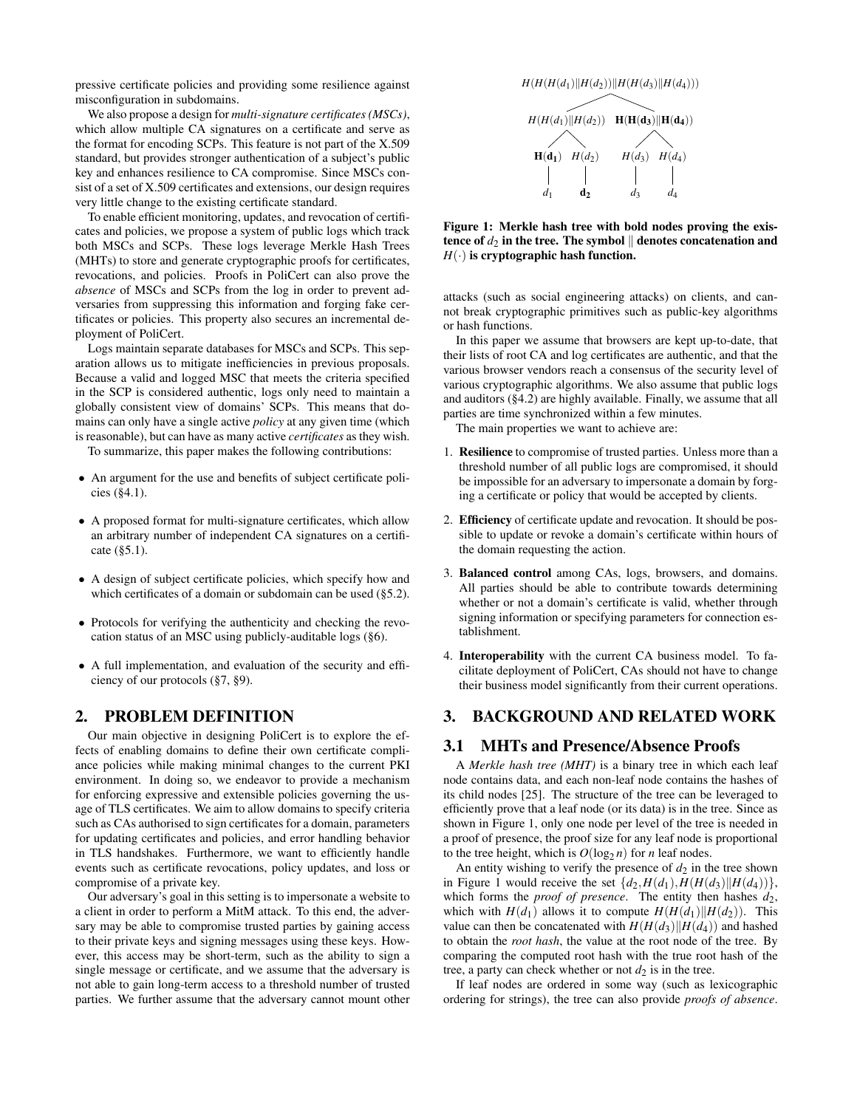pressive certificate policies and providing some resilience against misconfiguration in subdomains.

We also propose a design for *multi-signature certificates (MSCs)*, which allow multiple CA signatures on a certificate and serve as the format for encoding SCPs. This feature is not part of the X.509 standard, but provides stronger authentication of a subject's public key and enhances resilience to CA compromise. Since MSCs consist of a set of X.509 certificates and extensions, our design requires very little change to the existing certificate standard.

To enable efficient monitoring, updates, and revocation of certificates and policies, we propose a system of public logs which track both MSCs and SCPs. These logs leverage Merkle Hash Trees (MHTs) to store and generate cryptographic proofs for certificates, revocations, and policies. Proofs in PoliCert can also prove the *absence* of MSCs and SCPs from the log in order to prevent adversaries from suppressing this information and forging fake certificates or policies. This property also secures an incremental deployment of PoliCert.

Logs maintain separate databases for MSCs and SCPs. This separation allows us to mitigate inefficiencies in previous proposals. Because a valid and logged MSC that meets the criteria specified in the SCP is considered authentic, logs only need to maintain a globally consistent view of domains' SCPs. This means that domains can only have a single active *policy* at any given time (which is reasonable), but can have as many active *certificates* as they wish.

To summarize, this paper makes the following contributions:

- An argument for the use and benefits of subject certificate policies (§4.1).
- A proposed format for multi-signature certificates, which allow an arbitrary number of independent CA signatures on a certificate (§5.1).
- A design of subject certificate policies, which specify how and which certificates of a domain or subdomain can be used (§5.2).
- Protocols for verifying the authenticity and checking the revocation status of an MSC using publicly-auditable logs (§6).
- A full implementation, and evaluation of the security and efficiency of our protocols (§7, §9).

# 2. PROBLEM DEFINITION

Our main objective in designing PoliCert is to explore the effects of enabling domains to define their own certificate compliance policies while making minimal changes to the current PKI environment. In doing so, we endeavor to provide a mechanism for enforcing expressive and extensible policies governing the usage of TLS certificates. We aim to allow domains to specify criteria such as CAs authorised to sign certificates for a domain, parameters for updating certificates and policies, and error handling behavior in TLS handshakes. Furthermore, we want to efficiently handle events such as certificate revocations, policy updates, and loss or compromise of a private key.

Our adversary's goal in this setting is to impersonate a website to a client in order to perform a MitM attack. To this end, the adversary may be able to compromise trusted parties by gaining access to their private keys and signing messages using these keys. However, this access may be short-term, such as the ability to sign a single message or certificate, and we assume that the adversary is not able to gain long-term access to a threshold number of trusted parties. We further assume that the adversary cannot mount other



Figure 1: Merkle hash tree with bold nodes proving the existence of  $d_2$  in the tree. The symbol  $\parallel$  denotes concatenation and  $H(\cdot)$  is cryptographic hash function.

attacks (such as social engineering attacks) on clients, and cannot break cryptographic primitives such as public-key algorithms or hash functions.

In this paper we assume that browsers are kept up-to-date, that their lists of root CA and log certificates are authentic, and that the various browser vendors reach a consensus of the security level of various cryptographic algorithms. We also assume that public logs and auditors (§4.2) are highly available. Finally, we assume that all parties are time synchronized within a few minutes.

The main properties we want to achieve are:

- 1. Resilience to compromise of trusted parties. Unless more than a threshold number of all public logs are compromised, it should be impossible for an adversary to impersonate a domain by forging a certificate or policy that would be accepted by clients.
- 2. Efficiency of certificate update and revocation. It should be possible to update or revoke a domain's certificate within hours of the domain requesting the action.
- 3. Balanced control among CAs, logs, browsers, and domains. All parties should be able to contribute towards determining whether or not a domain's certificate is valid, whether through signing information or specifying parameters for connection establishment.
- 4. Interoperability with the current CA business model. To facilitate deployment of PoliCert, CAs should not have to change their business model significantly from their current operations.

# 3. BACKGROUND AND RELATED WORK

## 3.1 MHTs and Presence/Absence Proofs

A *Merkle hash tree (MHT)* is a binary tree in which each leaf node contains data, and each non-leaf node contains the hashes of its child nodes [25]. The structure of the tree can be leveraged to efficiently prove that a leaf node (or its data) is in the tree. Since as shown in Figure 1, only one node per level of the tree is needed in a proof of presence, the proof size for any leaf node is proportional to the tree height, which is  $O(\log_2 n)$  for *n* leaf nodes.

An entity wishing to verify the presence of  $d_2$  in the tree shown in Figure 1 would receive the set  $\{d_2, H(d_1), H(H(d_3)||H(d_4))\}$ , which forms the *proof of presence*. The entity then hashes  $d_2$ , which with  $H(d_1)$  allows it to compute  $H(H(d_1)||H(d_2))$ . This value can then be concatenated with  $H(H(d_3)||H(d_4))$  and hashed to obtain the *root hash*, the value at the root node of the tree. By comparing the computed root hash with the true root hash of the tree, a party can check whether or not  $d_2$  is in the tree.

If leaf nodes are ordered in some way (such as lexicographic ordering for strings), the tree can also provide *proofs of absence*.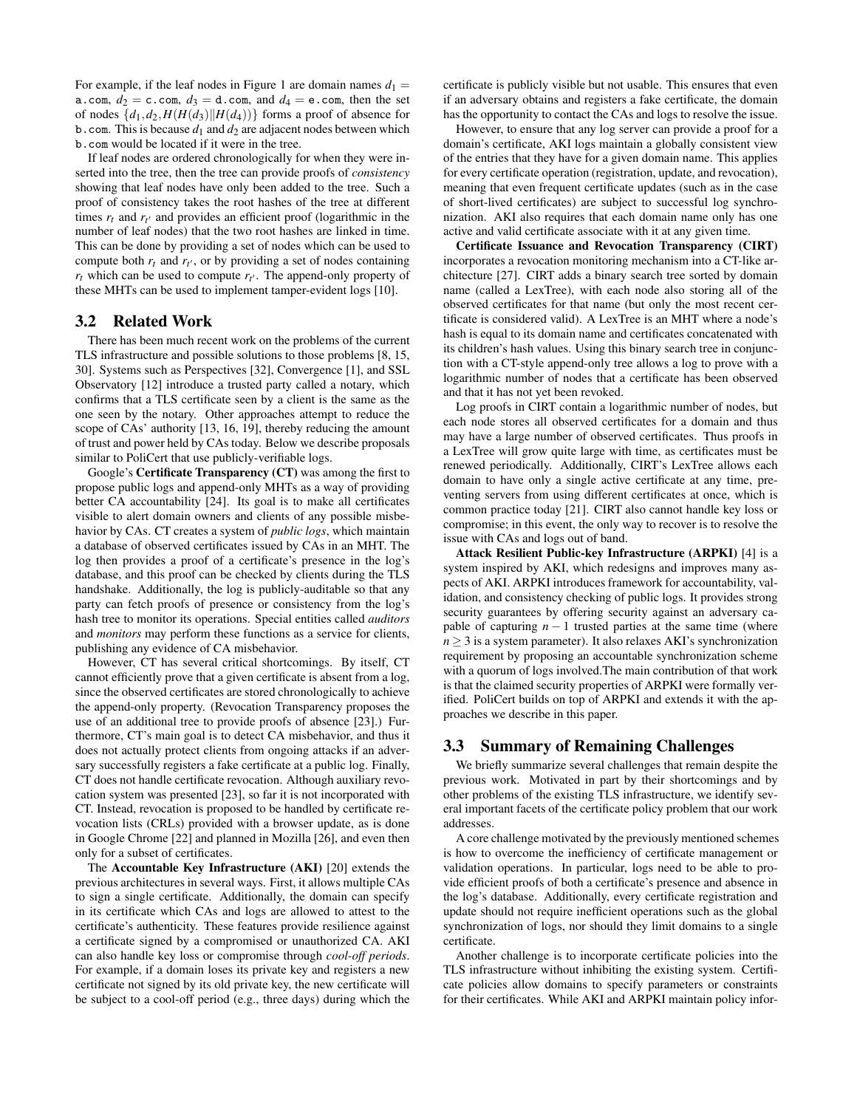For example, if the leaf nodes in Figure 1 are domain names  $d_1 =$ a.com,  $d_2 = c$ .com,  $d_3 = d$ .com, and  $d_4 = e$ .com, then the set of nodes  $\{d_1, d_2, H(H(d_3)||H(d_4))\}$  forms a proof of absence for b.com. This is because  $d_1$  and  $d_2$  are adjacent nodes between which b.com would be located if it were in the tree.

If leaf nodes are ordered chronologically for when they were inserted into the tree, then the tree can provide proofs of *consistency* showing that leaf nodes have only been added to the tree. Such a proof of consistency takes the root hashes of the tree at different times  $r_t$  and  $r_{t'}$  and provides an efficient proof (logarithmic in the number of leaf nodes) that the two root hashes are linked in time. This can be done by providing a set of nodes which can be used to compute both  $r_t$  and  $r_{t'}$ , or by providing a set of nodes containing  $r_t$  which can be used to compute  $r_{t'}$ . The append-only property of these MHTs can be used to implement tamper-evident logs [10].

## 3.2 Related Work

There has been much recent work on the problems of the current TLS infrastructure and possible solutions to those problems [8, 15, 30]. Systems such as Perspectives [32], Convergence [1], and SSL Observatory [12] introduce a trusted party called a notary, which confirms that a TLS certificate seen by a client is the same as the one seen by the notary. Other approaches attempt to reduce the scope of CAs' authority [13, 16, 19], thereby reducing the amount of trust and power held by CAs today. Below we describe proposals similar to PoliCert that use publicly-verifiable logs.

Google's Certificate Transparency (CT) was among the first to propose public logs and append-only MHTs as a way of providing better CA accountability [24]. Its goal is to make all certificates visible to alert domain owners and clients of any possible misbehavior by CAs. CT creates a system of *public logs*, which maintain a database of observed certificates issued by CAs in an MHT. The log then provides a proof of a certificate's presence in the log's database, and this proof can be checked by clients during the TLS handshake. Additionally, the log is publicly-auditable so that any party can fetch proofs of presence or consistency from the log's hash tree to monitor its operations. Special entities called *auditors* and *monitors* may perform these functions as a service for clients, publishing any evidence of CA misbehavior.

However, CT has several critical shortcomings. By itself, CT cannot efficiently prove that a given certificate is absent from a log, since the observed certificates are stored chronologically to achieve the append-only property. (Revocation Transparency proposes the use of an additional tree to provide proofs of absence [23].) Furthermore, CT's main goal is to detect CA misbehavior, and thus it does not actually protect clients from ongoing attacks if an adversary successfully registers a fake certificate at a public log. Finally, CT does not handle certificate revocation. Although auxiliary revocation system was presented [23], so far it is not incorporated with CT. Instead, revocation is proposed to be handled by certificate revocation lists (CRLs) provided with a browser update, as is done in Google Chrome [22] and planned in Mozilla [26], and even then only for a subset of certificates.

The Accountable Key Infrastructure (AKI) [20] extends the previous architectures in several ways. First, it allows multiple CAs to sign a single certificate. Additionally, the domain can specify in its certificate which CAs and logs are allowed to attest to the certificate's authenticity. These features provide resilience against a certificate signed by a compromised or unauthorized CA. AKI can also handle key loss or compromise through *cool-off periods*. For example, if a domain loses its private key and registers a new certificate not signed by its old private key, the new certificate will be subject to a cool-off period (e.g., three days) during which the

certificate is publicly visible but not usable. This ensures that even if an adversary obtains and registers a fake certificate, the domain has the opportunity to contact the CAs and logs to resolve the issue.

However, to ensure that any log server can provide a proof for a domain's certificate, AKI logs maintain a globally consistent view of the entries that they have for a given domain name. This applies for every certificate operation (registration, update, and revocation), meaning that even frequent certificate updates (such as in the case of short-lived certificates) are subject to successful log synchronization. AKI also requires that each domain name only has one active and valid certificate associate with it at any given time.

Certificate Issuance and Revocation Transparency (CIRT) incorporates a revocation monitoring mechanism into a CT-like architecture [27]. CIRT adds a binary search tree sorted by domain name (called a LexTree), with each node also storing all of the observed certificates for that name (but only the most recent certificate is considered valid). A LexTree is an MHT where a node's hash is equal to its domain name and certificates concatenated with its children's hash values. Using this binary search tree in conjunction with a CT-style append-only tree allows a log to prove with a logarithmic number of nodes that a certificate has been observed and that it has not yet been revoked.

Log proofs in CIRT contain a logarithmic number of nodes, but each node stores all observed certificates for a domain and thus may have a large number of observed certificates. Thus proofs in a LexTree will grow quite large with time, as certificates must be renewed periodically. Additionally, CIRT's LexTree allows each domain to have only a single active certificate at any time, preventing servers from using different certificates at once, which is common practice today [21]. CIRT also cannot handle key loss or compromise; in this event, the only way to recover is to resolve the issue with CAs and logs out of band.

Attack Resilient Public-key Infrastructure (ARPKI) [4] is a system inspired by AKI, which redesigns and improves many aspects of AKI. ARPKI introduces framework for accountability, validation, and consistency checking of public logs. It provides strong security guarantees by offering security against an adversary capable of capturing  $n - 1$  trusted parties at the same time (where  $n \geq 3$  is a system parameter). It also relaxes AKI's synchronization requirement by proposing an accountable synchronization scheme with a quorum of logs involved.The main contribution of that work is that the claimed security properties of ARPKI were formally verified. PoliCert builds on top of ARPKI and extends it with the approaches we describe in this paper.

# 3.3 Summary of Remaining Challenges

We briefly summarize several challenges that remain despite the previous work. Motivated in part by their shortcomings and by other problems of the existing TLS infrastructure, we identify several important facets of the certificate policy problem that our work addresses.

A core challenge motivated by the previously mentioned schemes is how to overcome the inefficiency of certificate management or validation operations. In particular, logs need to be able to provide efficient proofs of both a certificate's presence and absence in the log's database. Additionally, every certificate registration and update should not require inefficient operations such as the global synchronization of logs, nor should they limit domains to a single certificate.

Another challenge is to incorporate certificate policies into the TLS infrastructure without inhibiting the existing system. Certificate policies allow domains to specify parameters or constraints for their certificates. While AKI and ARPKI maintain policy infor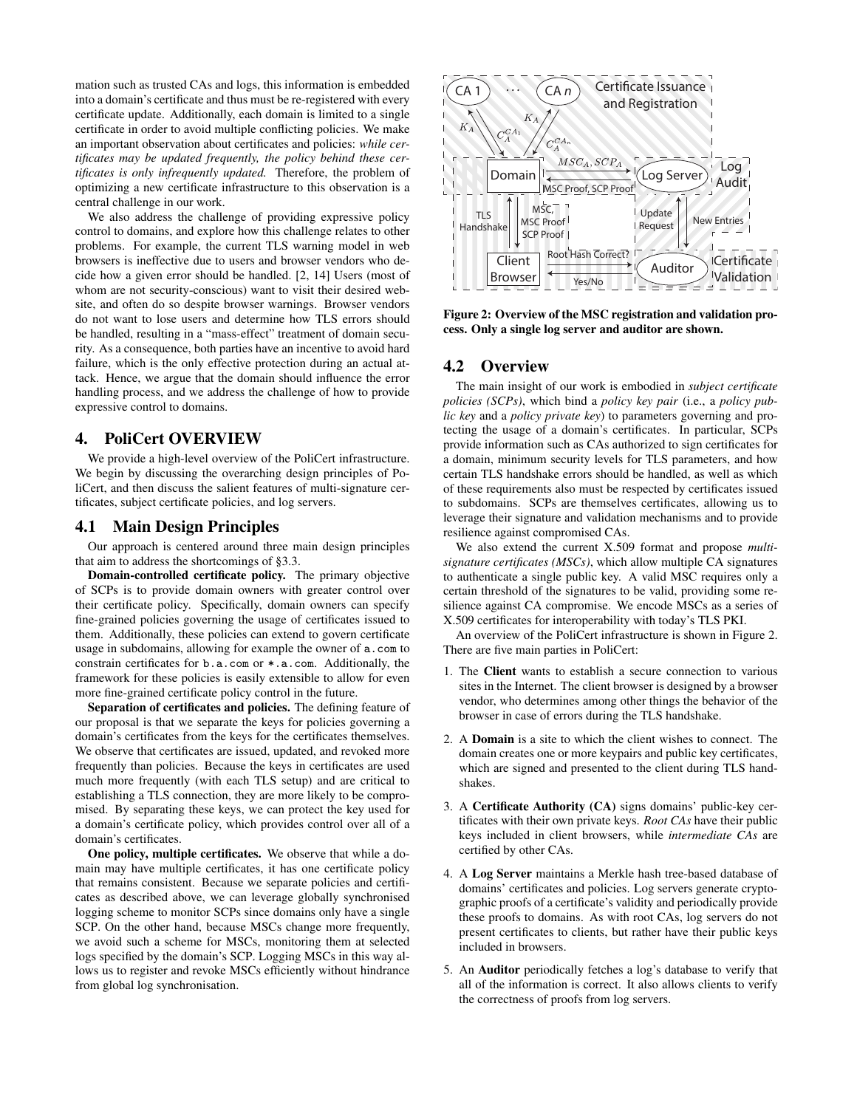mation such as trusted CAs and logs, this information is embedded into a domain's certificate and thus must be re-registered with every certificate update. Additionally, each domain is limited to a single certificate in order to avoid multiple conflicting policies. We make an important observation about certificates and policies: *while certificates may be updated frequently, the policy behind these certificates is only infrequently updated.* Therefore, the problem of optimizing a new certificate infrastructure to this observation is a central challenge in our work.

We also address the challenge of providing expressive policy control to domains, and explore how this challenge relates to other problems. For example, the current TLS warning model in web browsers is ineffective due to users and browser vendors who decide how a given error should be handled. [2, 14] Users (most of whom are not security-conscious) want to visit their desired website, and often do so despite browser warnings. Browser vendors do not want to lose users and determine how TLS errors should be handled, resulting in a "mass-effect" treatment of domain security. As a consequence, both parties have an incentive to avoid hard failure, which is the only effective protection during an actual attack. Hence, we argue that the domain should influence the error handling process, and we address the challenge of how to provide expressive control to domains.

# 4. PoliCert OVERVIEW

We provide a high-level overview of the PoliCert infrastructure. We begin by discussing the overarching design principles of PoliCert, and then discuss the salient features of multi-signature certificates, subject certificate policies, and log servers.

## 4.1 Main Design Principles

Our approach is centered around three main design principles that aim to address the shortcomings of §3.3.

Domain-controlled certificate policy. The primary objective of SCPs is to provide domain owners with greater control over their certificate policy. Specifically, domain owners can specify fine-grained policies governing the usage of certificates issued to them. Additionally, these policies can extend to govern certificate usage in subdomains, allowing for example the owner of a.com to constrain certificates for b.a.com or \*.a.com. Additionally, the framework for these policies is easily extensible to allow for even more fine-grained certificate policy control in the future.

Separation of certificates and policies. The defining feature of our proposal is that we separate the keys for policies governing a domain's certificates from the keys for the certificates themselves. We observe that certificates are issued, updated, and revoked more frequently than policies. Because the keys in certificates are used much more frequently (with each TLS setup) and are critical to establishing a TLS connection, they are more likely to be compromised. By separating these keys, we can protect the key used for a domain's certificate policy, which provides control over all of a domain's certificates.

One policy, multiple certificates. We observe that while a domain may have multiple certificates, it has one certificate policy that remains consistent. Because we separate policies and certificates as described above, we can leverage globally synchronised logging scheme to monitor SCPs since domains only have a single SCP. On the other hand, because MSCs change more frequently, we avoid such a scheme for MSCs, monitoring them at selected logs specified by the domain's SCP. Logging MSCs in this way allows us to register and revoke MSCs efficiently without hindrance from global log synchronisation.



Figure 2: Overview of the MSC registration and validation process. Only a single log server and auditor are shown.

# 4.2 Overview

The main insight of our work is embodied in *subject certificate policies (SCPs)*, which bind a *policy key pair* (i.e., a *policy public key* and a *policy private key*) to parameters governing and protecting the usage of a domain's certificates. In particular, SCPs provide information such as CAs authorized to sign certificates for a domain, minimum security levels for TLS parameters, and how certain TLS handshake errors should be handled, as well as which of these requirements also must be respected by certificates issued to subdomains. SCPs are themselves certificates, allowing us to leverage their signature and validation mechanisms and to provide resilience against compromised CAs.

We also extend the current X.509 format and propose *multisignature certificates (MSCs)*, which allow multiple CA signatures to authenticate a single public key. A valid MSC requires only a certain threshold of the signatures to be valid, providing some resilience against CA compromise. We encode MSCs as a series of X.509 certificates for interoperability with today's TLS PKI.

An overview of the PoliCert infrastructure is shown in Figure 2. There are five main parties in PoliCert:

- 1. The Client wants to establish a secure connection to various sites in the Internet. The client browser is designed by a browser vendor, who determines among other things the behavior of the browser in case of errors during the TLS handshake.
- 2. A Domain is a site to which the client wishes to connect. The domain creates one or more keypairs and public key certificates, which are signed and presented to the client during TLS handshakes.
- 3. A Certificate Authority (CA) signs domains' public-key certificates with their own private keys. *Root CAs* have their public keys included in client browsers, while *intermediate CAs* are certified by other CAs.
- 4. A Log Server maintains a Merkle hash tree-based database of domains' certificates and policies. Log servers generate cryptographic proofs of a certificate's validity and periodically provide these proofs to domains. As with root CAs, log servers do not present certificates to clients, but rather have their public keys included in browsers.
- 5. An Auditor periodically fetches a log's database to verify that all of the information is correct. It also allows clients to verify the correctness of proofs from log servers.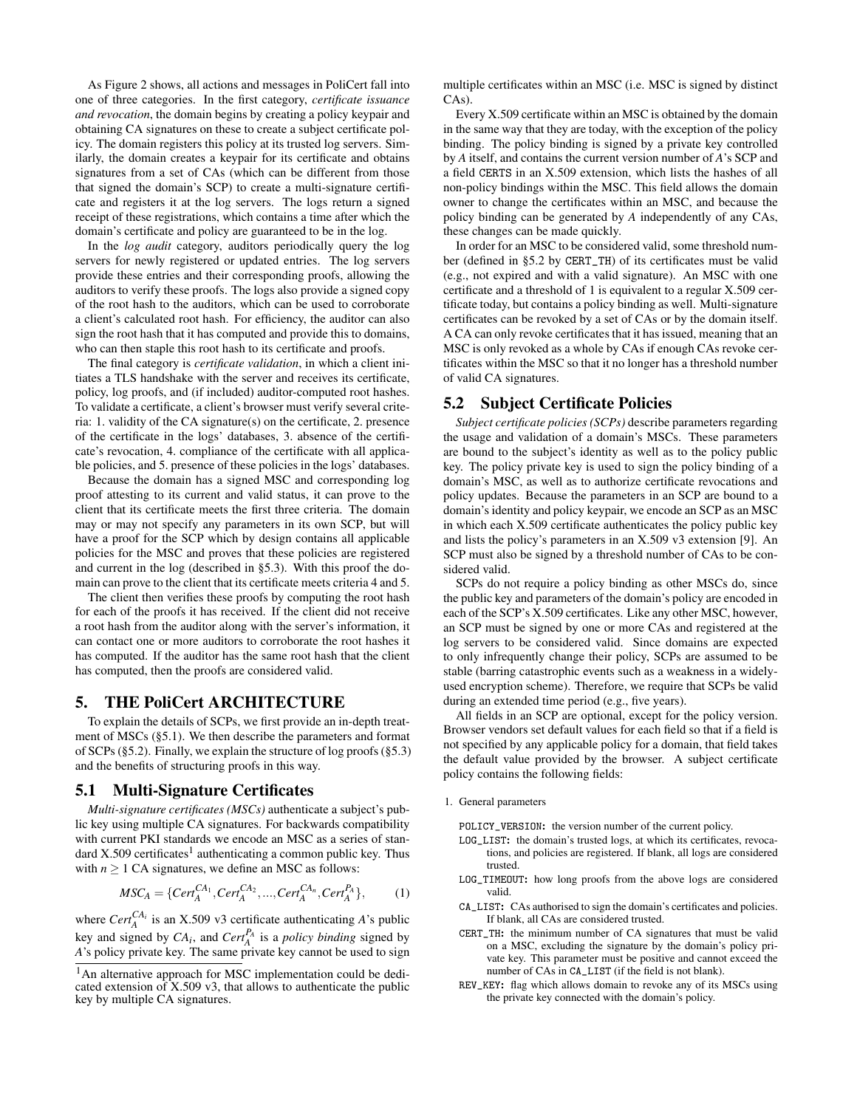As Figure 2 shows, all actions and messages in PoliCert fall into one of three categories. In the first category, *certificate issuance and revocation*, the domain begins by creating a policy keypair and obtaining CA signatures on these to create a subject certificate policy. The domain registers this policy at its trusted log servers. Similarly, the domain creates a keypair for its certificate and obtains signatures from a set of CAs (which can be different from those that signed the domain's SCP) to create a multi-signature certificate and registers it at the log servers. The logs return a signed receipt of these registrations, which contains a time after which the domain's certificate and policy are guaranteed to be in the log.

In the *log audit* category, auditors periodically query the log servers for newly registered or updated entries. The log servers provide these entries and their corresponding proofs, allowing the auditors to verify these proofs. The logs also provide a signed copy of the root hash to the auditors, which can be used to corroborate a client's calculated root hash. For efficiency, the auditor can also sign the root hash that it has computed and provide this to domains, who can then staple this root hash to its certificate and proofs.

The final category is *certificate validation*, in which a client initiates a TLS handshake with the server and receives its certificate, policy, log proofs, and (if included) auditor-computed root hashes. To validate a certificate, a client's browser must verify several criteria: 1. validity of the CA signature(s) on the certificate, 2. presence of the certificate in the logs' databases, 3. absence of the certificate's revocation, 4. compliance of the certificate with all applicable policies, and 5. presence of these policies in the logs' databases.

Because the domain has a signed MSC and corresponding log proof attesting to its current and valid status, it can prove to the client that its certificate meets the first three criteria. The domain may or may not specify any parameters in its own SCP, but will have a proof for the SCP which by design contains all applicable policies for the MSC and proves that these policies are registered and current in the log (described in §5.3). With this proof the domain can prove to the client that its certificate meets criteria 4 and 5.

The client then verifies these proofs by computing the root hash for each of the proofs it has received. If the client did not receive a root hash from the auditor along with the server's information, it can contact one or more auditors to corroborate the root hashes it has computed. If the auditor has the same root hash that the client has computed, then the proofs are considered valid.

## 5. THE PoliCert ARCHITECTURE

To explain the details of SCPs, we first provide an in-depth treatment of MSCs (§5.1). We then describe the parameters and format of SCPs (§5.2). Finally, we explain the structure of log proofs (§5.3) and the benefits of structuring proofs in this way.

#### 5.1 Multi-Signature Certificates

*Multi-signature certificates (MSCs)* authenticate a subject's public key using multiple CA signatures. For backwards compatibility with current PKI standards we encode an MSC as a series of standard X.509 certificates<sup>1</sup> authenticating a common public key. Thus with  $n \geq 1$  CA signatures, we define an MSC as follows:

$$
MSC_A = \{Cert_A^{CA_1}, Cert_A^{CA_2}, ..., Cert_A^{CA_n}, Cert_A^{PA} \},\qquad(1)
$$

where  $Cert_{A}^{CA_i}$  is an X.509 v3 certificate authenticating *A*'s public key and signed by  $CA_i$ , and  $Cert_A^{P_A}$  is a *policy binding* signed by *A*'s policy private key. The same private key cannot be used to sign multiple certificates within an MSC (i.e. MSC is signed by distinct CAs).

Every X.509 certificate within an MSC is obtained by the domain in the same way that they are today, with the exception of the policy binding. The policy binding is signed by a private key controlled by *A* itself, and contains the current version number of *A*'s SCP and a field CERTS in an X.509 extension, which lists the hashes of all non-policy bindings within the MSC. This field allows the domain owner to change the certificates within an MSC, and because the policy binding can be generated by *A* independently of any CAs, these changes can be made quickly.

In order for an MSC to be considered valid, some threshold number (defined in §5.2 by CERT\_TH) of its certificates must be valid (e.g., not expired and with a valid signature). An MSC with one certificate and a threshold of 1 is equivalent to a regular X.509 certificate today, but contains a policy binding as well. Multi-signature certificates can be revoked by a set of CAs or by the domain itself. A CA can only revoke certificates that it has issued, meaning that an MSC is only revoked as a whole by CAs if enough CAs revoke certificates within the MSC so that it no longer has a threshold number of valid CA signatures.

# 5.2 Subject Certificate Policies

*Subject certificate policies (SCPs)* describe parameters regarding the usage and validation of a domain's MSCs. These parameters are bound to the subject's identity as well as to the policy public key. The policy private key is used to sign the policy binding of a domain's MSC, as well as to authorize certificate revocations and policy updates. Because the parameters in an SCP are bound to a domain's identity and policy keypair, we encode an SCP as an MSC in which each X.509 certificate authenticates the policy public key and lists the policy's parameters in an X.509 v3 extension [9]. An SCP must also be signed by a threshold number of CAs to be considered valid.

SCPs do not require a policy binding as other MSCs do, since the public key and parameters of the domain's policy are encoded in each of the SCP's X.509 certificates. Like any other MSC, however, an SCP must be signed by one or more CAs and registered at the log servers to be considered valid. Since domains are expected to only infrequently change their policy, SCPs are assumed to be stable (barring catastrophic events such as a weakness in a widelyused encryption scheme). Therefore, we require that SCPs be valid during an extended time period (e.g., five years).

All fields in an SCP are optional, except for the policy version. Browser vendors set default values for each field so that if a field is not specified by any applicable policy for a domain, that field takes the default value provided by the browser. A subject certificate policy contains the following fields:

1. General parameters

POLICY\_VERSION: the version number of the current policy.

- LOG\_LIST: the domain's trusted logs, at which its certificates, revocations, and policies are registered. If blank, all logs are considered trusted.
- LOG\_TIMEOUT: how long proofs from the above logs are considered valid.
- CA\_LIST: CAs authorised to sign the domain's certificates and policies. If blank, all CAs are considered trusted.
- CERT\_TH: the minimum number of CA signatures that must be valid on a MSC, excluding the signature by the domain's policy private key. This parameter must be positive and cannot exceed the number of CAs in CA\_LIST (if the field is not blank).
- REV\_KEY: flag which allows domain to revoke any of its MSCs using the private key connected with the domain's policy.

<sup>&</sup>lt;sup>1</sup>An alternative approach for MSC implementation could be dedicated extension of  $X.509$  v3, that allows to authenticate the public key by multiple CA signatures.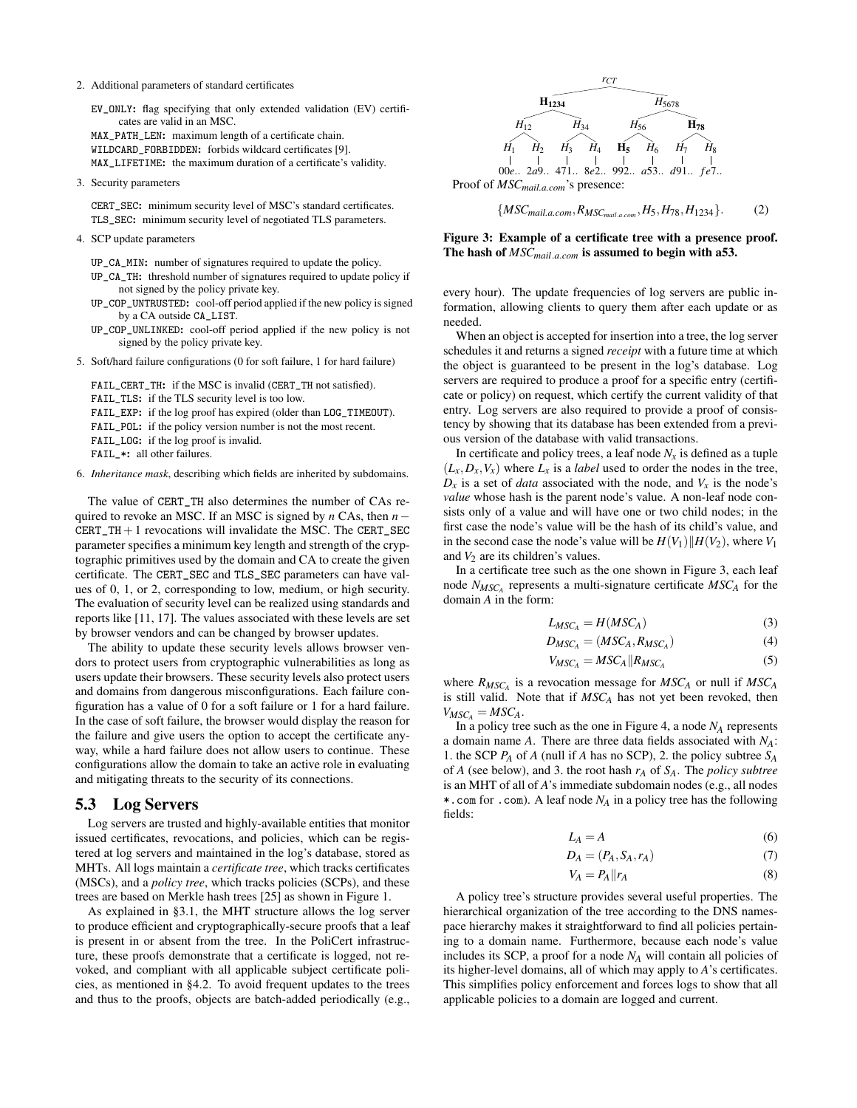#### 2. Additional parameters of standard certificates

EV\_ONLY: flag specifying that only extended validation (EV) certificates are valid in an MSC.

MAX\_PATH\_LEN: maximum length of a certificate chain. WILDCARD\_FORBIDDEN: forbids wildcard certificates [9]. MAX\_LIFETIME: the maximum duration of a certificate's validity.

3. Security parameters

CERT\_SEC: minimum security level of MSC's standard certificates. TLS\_SEC: minimum security level of negotiated TLS parameters.

4. SCP update parameters

UP\_CA\_MIN: number of signatures required to update the policy.

- UP\_CA\_TH: threshold number of signatures required to update policy if not signed by the policy private key.
- UP\_COP\_UNTRUSTED: cool-off period applied if the new policy is signed by a CA outside CA\_LIST.
- UP\_COP\_UNLINKED: cool-off period applied if the new policy is not signed by the policy private key.
- 5. Soft/hard failure configurations (0 for soft failure, 1 for hard failure)

FAIL\_CERT\_TH: if the MSC is invalid (CERT\_TH not satisfied). FAIL\_TLS: if the TLS security level is too low. FAIL\_EXP: if the log proof has expired (older than LOG\_TIMEOUT). FAIL\_POL: if the policy version number is not the most recent. FAIL\_LOG: if the log proof is invalid. FAIL\_\*: all other failures. 6. *Inheritance mask*, describing which fields are inherited by subdomains.

The value of CERT\_TH also determines the number of CAs required to revoke an MSC. If an MSC is signed by *n* CAs, then *n*−  $CERT_TH + 1$  revocations will invalidate the MSC. The  $CERT_SEC$ parameter specifies a minimum key length and strength of the cryptographic primitives used by the domain and CA to create the given certificate. The CERT\_SEC and TLS\_SEC parameters can have values of 0, 1, or 2, corresponding to low, medium, or high security. The evaluation of security level can be realized using standards and reports like [11, 17]. The values associated with these levels are set by browser vendors and can be changed by browser updates.

The ability to update these security levels allows browser vendors to protect users from cryptographic vulnerabilities as long as users update their browsers. These security levels also protect users and domains from dangerous misconfigurations. Each failure configuration has a value of 0 for a soft failure or 1 for a hard failure. In the case of soft failure, the browser would display the reason for the failure and give users the option to accept the certificate anyway, while a hard failure does not allow users to continue. These configurations allow the domain to take an active role in evaluating and mitigating threats to the security of its connections.

#### 5.3 Log Servers

Log servers are trusted and highly-available entities that monitor issued certificates, revocations, and policies, which can be registered at log servers and maintained in the log's database, stored as MHTs. All logs maintain a *certificate tree*, which tracks certificates (MSCs), and a *policy tree*, which tracks policies (SCPs), and these trees are based on Merkle hash trees [25] as shown in Figure 1.

As explained in §3.1, the MHT structure allows the log server to produce efficient and cryptographically-secure proofs that a leaf is present in or absent from the tree. In the PoliCert infrastructure, these proofs demonstrate that a certificate is logged, not revoked, and compliant with all applicable subject certificate policies, as mentioned in §4.2. To avoid frequent updates to the trees and thus to the proofs, objects are batch-added periodically (e.g.,



 $\{MSC_{mail.a.com}, R_{MSC_{mail.a.com}}, H_5, H_{78}, H_{1234}\}.$  (2)

Figure 3: Example of a certificate tree with a presence proof. The hash of *MSCmail*.*a*.*com* is assumed to begin with a53.

every hour). The update frequencies of log servers are public information, allowing clients to query them after each update or as needed.

When an object is accepted for insertion into a tree, the log server schedules it and returns a signed *receipt* with a future time at which the object is guaranteed to be present in the log's database. Log servers are required to produce a proof for a specific entry (certificate or policy) on request, which certify the current validity of that entry. Log servers are also required to provide a proof of consistency by showing that its database has been extended from a previous version of the database with valid transactions.

In certificate and policy trees, a leaf node  $N<sub>x</sub>$  is defined as a tuple  $(L_x, D_x, V_x)$  where  $L_x$  is a *label* used to order the nodes in the tree,  $D_x$  is a set of *data* associated with the node, and  $V_x$  is the node's *value* whose hash is the parent node's value. A non-leaf node consists only of a value and will have one or two child nodes; in the first case the node's value will be the hash of its child's value, and in the second case the node's value will be  $H(V_1)||H(V_2)$ , where  $V_1$ and  $V_2$  are its children's values.

In a certificate tree such as the one shown in Figure 3, each leaf node *NMSC<sup>A</sup>* represents a multi-signature certificate *MSC<sup>A</sup>* for the domain *A* in the form:

$$
L_{MSC_A} = H(MSC_A) \tag{3}
$$

$$
D_{MSC_A} = (MSC_A, R_{MSC_A})
$$
\n(4)

$$
V_{MSC_A} = MSC_A || R_{MSC_A} \tag{5}
$$

where  $R_{MSC_A}$  is a revocation message for  $MSC_A$  or null if  $MSC_A$ is still valid. Note that if *MSC<sup>A</sup>* has not yet been revoked, then  $V_{MSC_A} = MSC_A$ .

In a policy tree such as the one in Figure 4, a node *N<sup>A</sup>* represents a domain name *A*. There are three data fields associated with *NA*: 1. the SCP *P<sup>A</sup>* of *A* (null if *A* has no SCP), 2. the policy subtree *S<sup>A</sup>* of *A* (see below), and 3. the root hash *r<sup>A</sup>* of *SA*. The *policy subtree* is an MHT of all of *A*'s immediate subdomain nodes (e.g., all nodes \*.com for .com). A leaf node *N<sup>A</sup>* in a policy tree has the following fields:

$$
L_A = A \tag{6}
$$

$$
D_A = (P_A, S_A, r_A) \tag{7}
$$

$$
V_A = P_A \| r_A \tag{8}
$$

A policy tree's structure provides several useful properties. The hierarchical organization of the tree according to the DNS namespace hierarchy makes it straightforward to find all policies pertaining to a domain name. Furthermore, because each node's value includes its SCP, a proof for a node  $N_A$  will contain all policies of its higher-level domains, all of which may apply to *A*'s certificates. This simplifies policy enforcement and forces logs to show that all applicable policies to a domain are logged and current.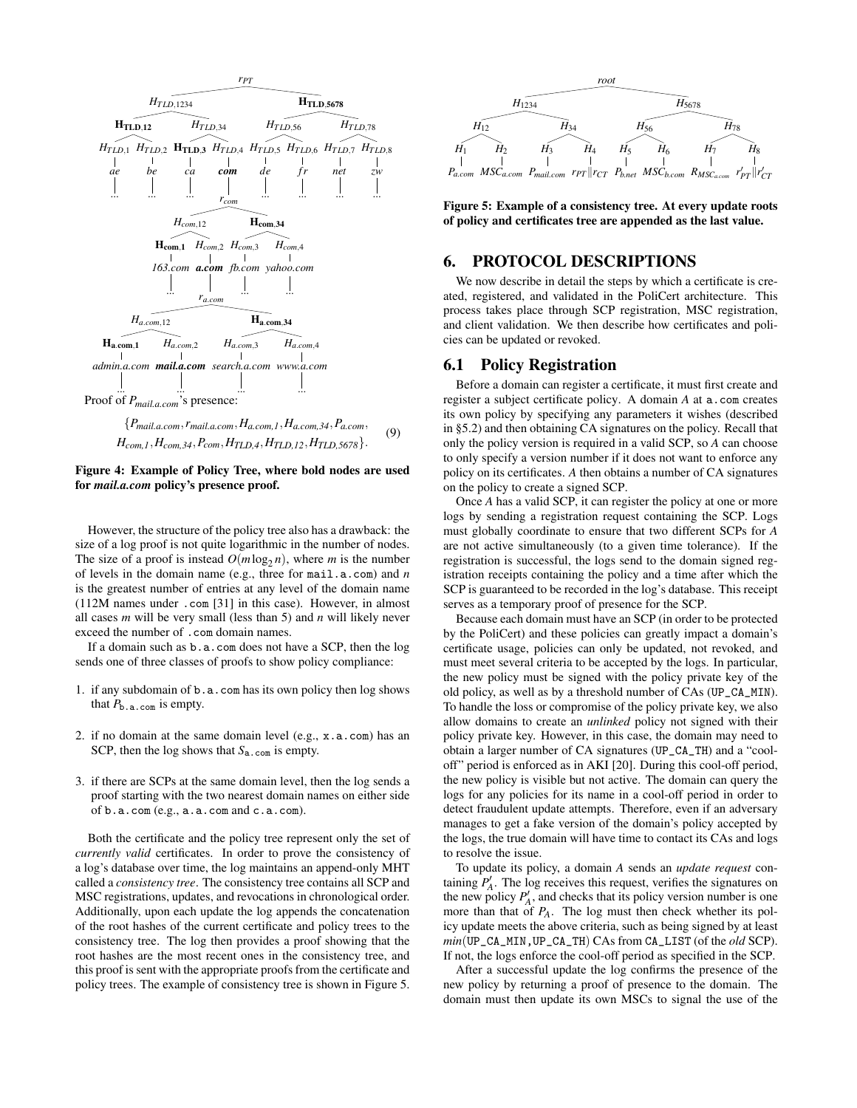

$$
\{P_{mail.a.com}, r_{mail.a.com}, H_{a.com,1}, H_{a.com,34}, P_{a.com},
$$
  

$$
H_{com,1}, H_{com,34}, P_{com}, H_{TLD,4}, H_{TLD,12}, H_{TLD,5678}\}.
$$
  
(9)

#### Figure 4: Example of Policy Tree, where bold nodes are used for *mail.a.com* policy's presence proof.

However, the structure of the policy tree also has a drawback: the size of a log proof is not quite logarithmic in the number of nodes. The size of a proof is instead  $O(m \log_2 n)$ , where *m* is the number of levels in the domain name (e.g., three for mail.a.com) and *n* is the greatest number of entries at any level of the domain name (112M names under .com [31] in this case). However, in almost all cases *m* will be very small (less than 5) and *n* will likely never exceed the number of .com domain names.

If a domain such as b.a.com does not have a SCP, then the log sends one of three classes of proofs to show policy compliance:

- 1. if any subdomain of b.a.com has its own policy then log shows that  $P_{\text{b.a.com}}$  is empty.
- 2. if no domain at the same domain level (e.g., x.a.com) has an SCP, then the log shows that *S*a.com is empty.
- 3. if there are SCPs at the same domain level, then the log sends a proof starting with the two nearest domain names on either side of b.a.com (e.g., a.a.com and c.a.com).

Both the certificate and the policy tree represent only the set of *currently valid* certificates. In order to prove the consistency of a log's database over time, the log maintains an append-only MHT called a *consistency tree*. The consistency tree contains all SCP and MSC registrations, updates, and revocations in chronological order. Additionally, upon each update the log appends the concatenation of the root hashes of the current certificate and policy trees to the consistency tree. The log then provides a proof showing that the root hashes are the most recent ones in the consistency tree, and this proof is sent with the appropriate proofs from the certificate and policy trees. The example of consistency tree is shown in Figure 5.



Figure 5: Example of a consistency tree. At every update roots of policy and certificates tree are appended as the last value.

# 6. PROTOCOL DESCRIPTIONS

We now describe in detail the steps by which a certificate is created, registered, and validated in the PoliCert architecture. This process takes place through SCP registration, MSC registration, and client validation. We then describe how certificates and policies can be updated or revoked.

#### 6.1 Policy Registration

Before a domain can register a certificate, it must first create and register a subject certificate policy. A domain *A* at a.com creates its own policy by specifying any parameters it wishes (described in §5.2) and then obtaining CA signatures on the policy. Recall that only the policy version is required in a valid SCP, so *A* can choose to only specify a version number if it does not want to enforce any policy on its certificates. *A* then obtains a number of CA signatures on the policy to create a signed SCP.

Once *A* has a valid SCP, it can register the policy at one or more logs by sending a registration request containing the SCP. Logs must globally coordinate to ensure that two different SCPs for *A* are not active simultaneously (to a given time tolerance). If the registration is successful, the logs send to the domain signed registration receipts containing the policy and a time after which the SCP is guaranteed to be recorded in the log's database. This receipt serves as a temporary proof of presence for the SCP.

Because each domain must have an SCP (in order to be protected by the PoliCert) and these policies can greatly impact a domain's certificate usage, policies can only be updated, not revoked, and must meet several criteria to be accepted by the logs. In particular, the new policy must be signed with the policy private key of the old policy, as well as by a threshold number of CAs (UP\_CA\_MIN). To handle the loss or compromise of the policy private key, we also allow domains to create an *unlinked* policy not signed with their policy private key. However, in this case, the domain may need to obtain a larger number of CA signatures (UP\_CA\_TH) and a "cooloff" period is enforced as in AKI [20]. During this cool-off period, the new policy is visible but not active. The domain can query the logs for any policies for its name in a cool-off period in order to detect fraudulent update attempts. Therefore, even if an adversary manages to get a fake version of the domain's policy accepted by the logs, the true domain will have time to contact its CAs and logs to resolve the issue.

To update its policy, a domain *A* sends an *update request* containing  $P'_A$ . The log receives this request, verifies the signatures on the new policy  $P'_A$ , and checks that its policy version number is one more than that of *PA*. The log must then check whether its policy update meets the above criteria, such as being signed by at least *min*(UP\_CA\_MIN,UP\_CA\_TH) CAs from CA\_LIST (of the *old* SCP). If not, the logs enforce the cool-off period as specified in the SCP.

After a successful update the log confirms the presence of the new policy by returning a proof of presence to the domain. The domain must then update its own MSCs to signal the use of the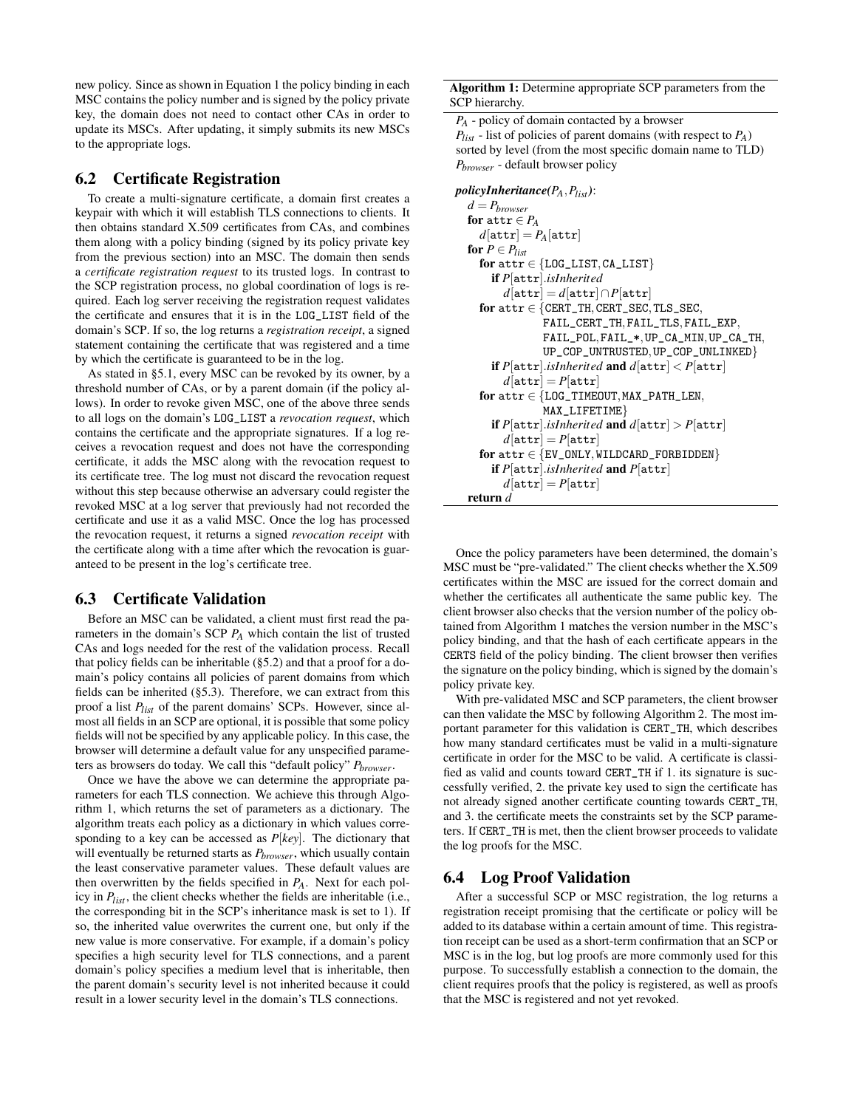new policy. Since as shown in Equation 1 the policy binding in each MSC contains the policy number and is signed by the policy private key, the domain does not need to contact other CAs in order to update its MSCs. After updating, it simply submits its new MSCs to the appropriate logs.

# 6.2 Certificate Registration

To create a multi-signature certificate, a domain first creates a keypair with which it will establish TLS connections to clients. It then obtains standard X.509 certificates from CAs, and combines them along with a policy binding (signed by its policy private key from the previous section) into an MSC. The domain then sends a *certificate registration request* to its trusted logs. In contrast to the SCP registration process, no global coordination of logs is required. Each log server receiving the registration request validates the certificate and ensures that it is in the LOG\_LIST field of the domain's SCP. If so, the log returns a *registration receipt*, a signed statement containing the certificate that was registered and a time by which the certificate is guaranteed to be in the log.

As stated in §5.1, every MSC can be revoked by its owner, by a threshold number of CAs, or by a parent domain (if the policy allows). In order to revoke given MSC, one of the above three sends to all logs on the domain's LOG\_LIST a *revocation request*, which contains the certificate and the appropriate signatures. If a log receives a revocation request and does not have the corresponding certificate, it adds the MSC along with the revocation request to its certificate tree. The log must not discard the revocation request without this step because otherwise an adversary could register the revoked MSC at a log server that previously had not recorded the certificate and use it as a valid MSC. Once the log has processed the revocation request, it returns a signed *revocation receipt* with the certificate along with a time after which the revocation is guaranteed to be present in the log's certificate tree.

# 6.3 Certificate Validation

Before an MSC can be validated, a client must first read the parameters in the domain's SCP *P<sup>A</sup>* which contain the list of trusted CAs and logs needed for the rest of the validation process. Recall that policy fields can be inheritable (§5.2) and that a proof for a domain's policy contains all policies of parent domains from which fields can be inherited (§5.3). Therefore, we can extract from this proof a list *Plist* of the parent domains' SCPs. However, since almost all fields in an SCP are optional, it is possible that some policy fields will not be specified by any applicable policy. In this case, the browser will determine a default value for any unspecified parameters as browsers do today. We call this "default policy" *Pbrowser*.

Once we have the above we can determine the appropriate parameters for each TLS connection. We achieve this through Algorithm 1, which returns the set of parameters as a dictionary. The algorithm treats each policy as a dictionary in which values corresponding to a key can be accessed as *P*[*key*]. The dictionary that will eventually be returned starts as *Pbrowser*, which usually contain the least conservative parameter values. These default values are then overwritten by the fields specified in *PA*. Next for each policy in *Plist* , the client checks whether the fields are inheritable (i.e., the corresponding bit in the SCP's inheritance mask is set to 1). If so, the inherited value overwrites the current one, but only if the new value is more conservative. For example, if a domain's policy specifies a high security level for TLS connections, and a parent domain's policy specifies a medium level that is inheritable, then the parent domain's security level is not inherited because it could result in a lower security level in the domain's TLS connections.

Algorithm 1: Determine appropriate SCP parameters from the SCP hierarchy.

*P<sup>A</sup>* - policy of domain contacted by a browser  $P_{list}$  - list of policies of parent domains (with respect to  $P_A$ ) sorted by level (from the most specific domain name to TLD) *Pbrowser* - default browser policy

*policyInheritance(PA*,*Plist)*:

```
d = P_{brouser}for attr\in P_Ad[\texttt{attr}] = P_A[\texttt{attr}]for P \in P_{list}for \texttt{attr} \in \{\texttt{LOG\_LIST}, \texttt{CA\_LIST}\}if P[attr].isInherited
  d[\texttt{attr}] = d[\texttt{attr}] \cap P[\texttt{attr}]for \, attr \in \{CERT\_TH, CERT\_SEC, TLS\_SEC,FAIL_CERT_TH,FAIL_TLS,FAIL_EXP,
             FAIL_POL,FAIL_*,UP_CA_MIN,UP_CA_TH,
             UP_COP_UNTRUSTED,UP_COP_UNLINKED}
if P[\text{attr}].\text{isInherited} and d[\text{attr}] < P[\text{attr}]d[{\texttt{attr}}] = P[{\texttt{attr}}]for \texttt{attr} \in \{\texttt{LOG\_TIMEOUT}, \texttt{MAX\_PATH\_LEN},MAX_LIFETIME}
if P[\text{attr}].\text{isInherited} and d[\text{attr}] > P[\text{attr}]d[{\tt attr}] = P[{\tt attr}]for \, attr \in \{EV\_ONLY, WILDCARD\_FOREIDDEN\}if P[attr].isInherited and P[attr]
  d[{\tt attr}] = P[{\tt attr}]return d
```
Once the policy parameters have been determined, the domain's MSC must be "pre-validated." The client checks whether the X.509 certificates within the MSC are issued for the correct domain and whether the certificates all authenticate the same public key. The client browser also checks that the version number of the policy obtained from Algorithm 1 matches the version number in the MSC's policy binding, and that the hash of each certificate appears in the CERTS field of the policy binding. The client browser then verifies the signature on the policy binding, which is signed by the domain's policy private key.

With pre-validated MSC and SCP parameters, the client browser can then validate the MSC by following Algorithm 2. The most important parameter for this validation is CERT\_TH, which describes how many standard certificates must be valid in a multi-signature certificate in order for the MSC to be valid. A certificate is classified as valid and counts toward CERT\_TH if 1. its signature is successfully verified, 2. the private key used to sign the certificate has not already signed another certificate counting towards CERT\_TH, and 3. the certificate meets the constraints set by the SCP parameters. If CERT\_TH is met, then the client browser proceeds to validate the log proofs for the MSC.

# 6.4 Log Proof Validation

After a successful SCP or MSC registration, the log returns a registration receipt promising that the certificate or policy will be added to its database within a certain amount of time. This registration receipt can be used as a short-term confirmation that an SCP or MSC is in the log, but log proofs are more commonly used for this purpose. To successfully establish a connection to the domain, the client requires proofs that the policy is registered, as well as proofs that the MSC is registered and not yet revoked.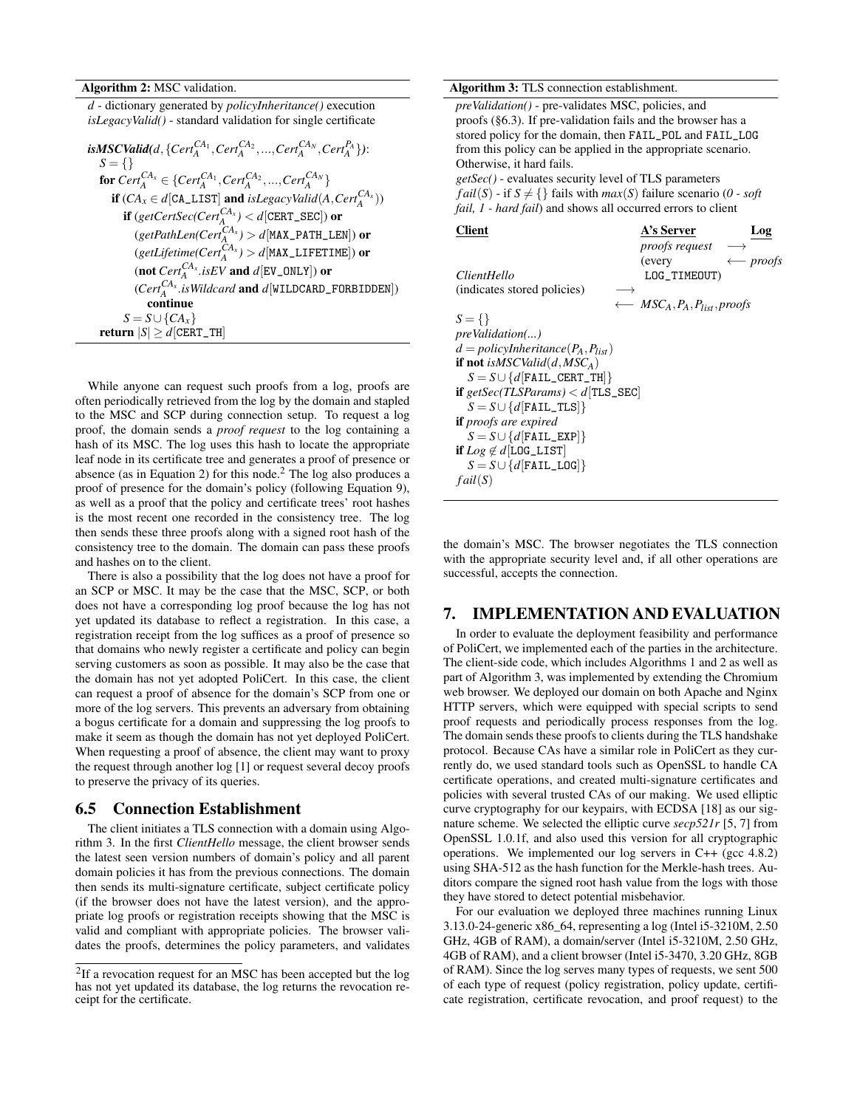#### Algorithm 2: MSC validation.

| $d$ - dictionary generated by <i>policylnheritance</i> () execution                                                                           |
|-----------------------------------------------------------------------------------------------------------------------------------------------|
| <i>isLegacyValid()</i> - standard validation for single certificate                                                                           |
| isMSCValid(d, {Cert <sup>CA1</sup> , Cert <sup>CA2</sup> , , Cert <sup>CA</sup> <sub>n</sub> , Cert <sub>A</sub> <sup>P<sub>A</sub></sup> }): |
| $S = \{\}$                                                                                                                                    |
| <b>for</b> $Cert_{A}^{CA_x} \in \{Cert_{A}^{CA_1}, Cert_{A}^{CA_2}, , Cert_{A}^{CA_N} \}$                                                     |
| <b>if</b> $(CA_x \in d[CA\_LIST]$ and isLegacyValid $(A, Cert_A^{CA_x}))$                                                                     |
| <b>if</b> $(getCertSec(Cert_A^{CA_x}) < d[CENT\_SEC])$ or                                                                                     |
| $(getPathLen(Cerf_A^{CA_x}) > d[MAX_PATH_LEN])$ or                                                                                            |
| $(getLifetime(Cerf_A^{CA_x}) > d[MAX_LIFFTIME])$ or                                                                                           |
| (not $Cert_{A}^{CA_x}.isEV$ and $d[EV_ONLY])$ or                                                                                              |
| $(Cer f_A^{CA_x}.is Wildcard$ and $d[WILDCARD_FORBIDDEN])$                                                                                    |
| continue                                                                                                                                      |
| $S = S \cup \{CA_{x}\}\$                                                                                                                      |
| <b>return</b> $ S  \ge d$ [CERT_TH]                                                                                                           |
|                                                                                                                                               |

While anyone can request such proofs from a log, proofs are often periodically retrieved from the log by the domain and stapled to the MSC and SCP during connection setup. To request a log proof, the domain sends a *proof request* to the log containing a hash of its MSC. The log uses this hash to locate the appropriate leaf node in its certificate tree and generates a proof of presence or absence (as in Equation 2) for this node.<sup>2</sup> The log also produces a proof of presence for the domain's policy (following Equation 9), as well as a proof that the policy and certificate trees' root hashes is the most recent one recorded in the consistency tree. The log then sends these three proofs along with a signed root hash of the consistency tree to the domain. The domain can pass these proofs and hashes on to the client.

There is also a possibility that the log does not have a proof for an SCP or MSC. It may be the case that the MSC, SCP, or both does not have a corresponding log proof because the log has not yet updated its database to reflect a registration. In this case, a registration receipt from the log suffices as a proof of presence so that domains who newly register a certificate and policy can begin serving customers as soon as possible. It may also be the case that the domain has not yet adopted PoliCert. In this case, the client can request a proof of absence for the domain's SCP from one or more of the log servers. This prevents an adversary from obtaining a bogus certificate for a domain and suppressing the log proofs to make it seem as though the domain has not yet deployed PoliCert. When requesting a proof of absence, the client may want to proxy the request through another log [1] or request several decoy proofs to preserve the privacy of its queries.

## 6.5 Connection Establishment

The client initiates a TLS connection with a domain using Algorithm 3. In the first *ClientHello* message, the client browser sends the latest seen version numbers of domain's policy and all parent domain policies it has from the previous connections. The domain then sends its multi-signature certificate, subject certificate policy (if the browser does not have the latest version), and the appropriate log proofs or registration receipts showing that the MSC is valid and compliant with appropriate policies. The browser validates the proofs, determines the policy parameters, and validates

#### Algorithm 3: TLS connection establishment.

*preValidation()* - pre-validates MSC, policies, and proofs (§6.3). If pre-validation fails and the browser has a stored policy for the domain, then FAIL\_POL and FAIL\_LOG from this policy can be applied in the appropriate scenario. Otherwise, it hard fails. *getSec()* - evaluates security level of TLS parameters *f ail*(*S*) - if  $S \neq \{\}$  fails with *max*(*S*) failure scenario (*0 - soft*)

*fail, 1 - hard fail*) and shows all occurred errors to client

| Client                                             | <b>A's Server</b>                                               | Log                 |
|----------------------------------------------------|-----------------------------------------------------------------|---------------------|
|                                                    | proofs request                                                  | $\longrightarrow$   |
|                                                    | (every                                                          | $\leftarrow$ proofs |
| <i>ClientHello</i>                                 | LOG_TIMEOUT)                                                    |                     |
| (indicates stored policies)                        | $\longrightarrow$                                               |                     |
|                                                    | $\longleftarrow$ MSC <sub>A</sub> , $P_A$ , $P_{list}$ , proofs |                     |
| $S = \{\}$                                         |                                                                 |                     |
| <i>preValidation()</i>                             |                                                                 |                     |
| $d = policyInheritance(P_A, P_{list})$             |                                                                 |                     |
| <b>if not</b> is MSCValid(d, MSC <sub>A</sub> )    |                                                                 |                     |
| $S = S \cup \{d$ [FAIL_CERT_TH]}                   |                                                                 |                     |
| <b>if</b> getSec( <i>TLSParams</i> ) $d$ [TLS_SEC] |                                                                 |                     |
| $S = S \cup \{d$ [FAIL_TLS]}                       |                                                                 |                     |
| <b>if</b> proofs are expired                       |                                                                 |                     |
| $S = S \cup \{d$ [FAIL_EXP]}                       |                                                                 |                     |
| if $Log \notin d$ [LOG_LIST]                       |                                                                 |                     |
| $S = S \cup \{d$ [FAIL_LOG] }                      |                                                                 |                     |
| fail(S)                                            |                                                                 |                     |

the domain's MSC. The browser negotiates the TLS connection with the appropriate security level and, if all other operations are successful, accepts the connection.

## 7. IMPLEMENTATION AND EVALUATION

In order to evaluate the deployment feasibility and performance of PoliCert, we implemented each of the parties in the architecture. The client-side code, which includes Algorithms 1 and 2 as well as part of Algorithm 3, was implemented by extending the Chromium web browser. We deployed our domain on both Apache and Nginx HTTP servers, which were equipped with special scripts to send proof requests and periodically process responses from the log. The domain sends these proofs to clients during the TLS handshake protocol. Because CAs have a similar role in PoliCert as they currently do, we used standard tools such as OpenSSL to handle CA certificate operations, and created multi-signature certificates and policies with several trusted CAs of our making. We used elliptic curve cryptography for our keypairs, with ECDSA [18] as our signature scheme. We selected the elliptic curve *secp521r* [5, 7] from OpenSSL 1.0.1f, and also used this version for all cryptographic operations. We implemented our log servers in C++ (gcc 4.8.2) using SHA-512 as the hash function for the Merkle-hash trees. Auditors compare the signed root hash value from the logs with those they have stored to detect potential misbehavior.

For our evaluation we deployed three machines running Linux 3.13.0-24-generic x86\_64, representing a log (Intel i5-3210M, 2.50 GHz, 4GB of RAM), a domain/server (Intel i5-3210M, 2.50 GHz, 4GB of RAM), and a client browser (Intel i5-3470, 3.20 GHz, 8GB of RAM). Since the log serves many types of requests, we sent 500 of each type of request (policy registration, policy update, certificate registration, certificate revocation, and proof request) to the

<sup>&</sup>lt;sup>2</sup>If a revocation request for an MSC has been accepted but the log has not yet updated its database, the log returns the revocation receipt for the certificate.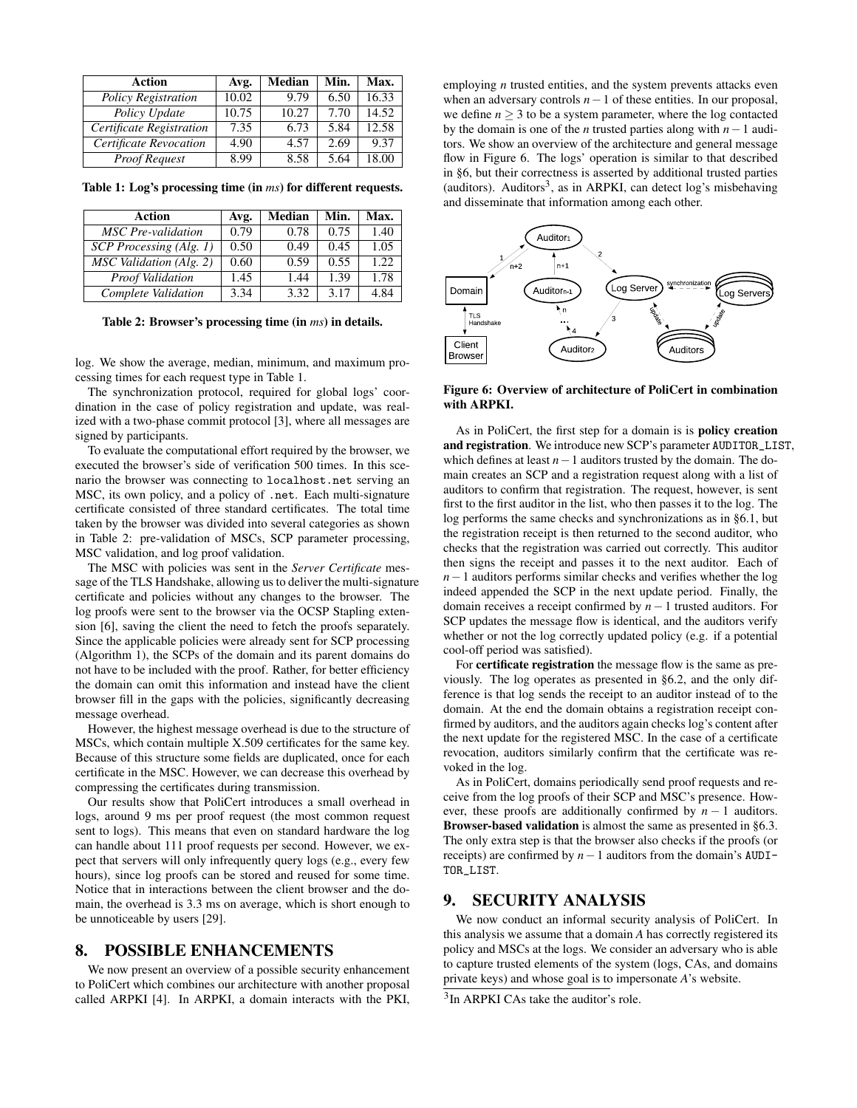| Action                        | Avg.  | <b>Median</b> | Min. | Max.  |
|-------------------------------|-------|---------------|------|-------|
| <b>Policy Registration</b>    | 10.02 | 9.79          | 6.50 | 16.33 |
| Policy Update                 | 10.75 | 10.27         | 7.70 | 14.52 |
| Certificate Registration      | 7.35  | 6.73          | 5.84 | 12.58 |
| <b>Certificate Revocation</b> | 4.90  | 4.57          | 2.69 | 9.37  |
| <b>Proof Request</b>          | 8.99  | 8.58          | 5.64 | 18.00 |

Table 1: Log's processing time (in *ms*) for different requests.

| Action                         | Avg. | <b>Median</b> | Min. | Max.  |
|--------------------------------|------|---------------|------|-------|
| <b>MSC</b> Pre-validation      | 0.79 | 0.78          | 0.75 | 1.40  |
| SCP Processing (Alg. 1)        | 0.50 | 0.49          | 0.45 | 1.05  |
| <b>MSC</b> Validation (Alg. 2) | 0.60 | 0.59          | 0.55 | 1.22. |
| <b>Proof Validation</b>        | 1.45 | 1.44          | 1.39 | 1.78  |
| Complete Validation            | 3.34 | 3.32          | 3.17 | 4.84  |

#### Table 2: Browser's processing time (in *ms*) in details.

log. We show the average, median, minimum, and maximum processing times for each request type in Table 1.

The synchronization protocol, required for global logs' coordination in the case of policy registration and update, was realized with a two-phase commit protocol [3], where all messages are signed by participants.

To evaluate the computational effort required by the browser, we executed the browser's side of verification 500 times. In this scenario the browser was connecting to localhost.net serving an MSC, its own policy, and a policy of .net. Each multi-signature certificate consisted of three standard certificates. The total time taken by the browser was divided into several categories as shown in Table 2: pre-validation of MSCs, SCP parameter processing, MSC validation, and log proof validation.

The MSC with policies was sent in the *Server Certificate* message of the TLS Handshake, allowing us to deliver the multi-signature certificate and policies without any changes to the browser. The log proofs were sent to the browser via the OCSP Stapling extension [6], saving the client the need to fetch the proofs separately. Since the applicable policies were already sent for SCP processing (Algorithm 1), the SCPs of the domain and its parent domains do not have to be included with the proof. Rather, for better efficiency the domain can omit this information and instead have the client browser fill in the gaps with the policies, significantly decreasing message overhead.

However, the highest message overhead is due to the structure of MSCs, which contain multiple X.509 certificates for the same key. Because of this structure some fields are duplicated, once for each certificate in the MSC. However, we can decrease this overhead by compressing the certificates during transmission.

Our results show that PoliCert introduces a small overhead in logs, around 9 ms per proof request (the most common request sent to logs). This means that even on standard hardware the log can handle about 111 proof requests per second. However, we expect that servers will only infrequently query logs (e.g., every few hours), since log proofs can be stored and reused for some time. Notice that in interactions between the client browser and the domain, the overhead is 3.3 ms on average, which is short enough to be unnoticeable by users [29].

# 8. POSSIBLE ENHANCEMENTS

We now present an overview of a possible security enhancement to PoliCert which combines our architecture with another proposal called ARPKI [4]. In ARPKI, a domain interacts with the PKI, employing *n* trusted entities, and the system prevents attacks even when an adversary controls *n*−1 of these entities. In our proposal, we define  $n > 3$  to be a system parameter, where the log contacted by the domain is one of the *n* trusted parties along with *n*−1 auditors. We show an overview of the architecture and general message flow in Figure 6. The logs' operation is similar to that described in §6, but their correctness is asserted by additional trusted parties (auditors). Auditors<sup>3</sup>, as in ARPKI, can detect log's misbehaving and disseminate that information among each other.



Figure 6: Overview of architecture of PoliCert in combination with ARPKI.

As in PoliCert, the first step for a domain is is **policy creation** and registration. We introduce new SCP's parameter AUDITOR\_LIST, which defines at least *n*−1 auditors trusted by the domain. The domain creates an SCP and a registration request along with a list of auditors to confirm that registration. The request, however, is sent first to the first auditor in the list, who then passes it to the log. The log performs the same checks and synchronizations as in §6.1, but the registration receipt is then returned to the second auditor, who checks that the registration was carried out correctly. This auditor then signs the receipt and passes it to the next auditor. Each of *n*−1 auditors performs similar checks and verifies whether the log indeed appended the SCP in the next update period. Finally, the domain receives a receipt confirmed by *n*−1 trusted auditors. For SCP updates the message flow is identical, and the auditors verify whether or not the log correctly updated policy (e.g. if a potential cool-off period was satisfied).

For certificate registration the message flow is the same as previously. The log operates as presented in §6.2, and the only difference is that log sends the receipt to an auditor instead of to the domain. At the end the domain obtains a registration receipt confirmed by auditors, and the auditors again checks log's content after the next update for the registered MSC. In the case of a certificate revocation, auditors similarly confirm that the certificate was revoked in the log.

As in PoliCert, domains periodically send proof requests and receive from the log proofs of their SCP and MSC's presence. However, these proofs are additionally confirmed by  $n - 1$  auditors. Browser-based validation is almost the same as presented in §6.3. The only extra step is that the browser also checks if the proofs (or receipts) are confirmed by *n*−1 auditors from the domain's AUDI-TOR\_LIST.

# 9. SECURITY ANALYSIS

We now conduct an informal security analysis of PoliCert. In this analysis we assume that a domain *A* has correctly registered its policy and MSCs at the logs. We consider an adversary who is able to capture trusted elements of the system (logs, CAs, and domains private keys) and whose goal is to impersonate *A*'s website.

<sup>&</sup>lt;sup>3</sup>In ARPKI CAs take the auditor's role.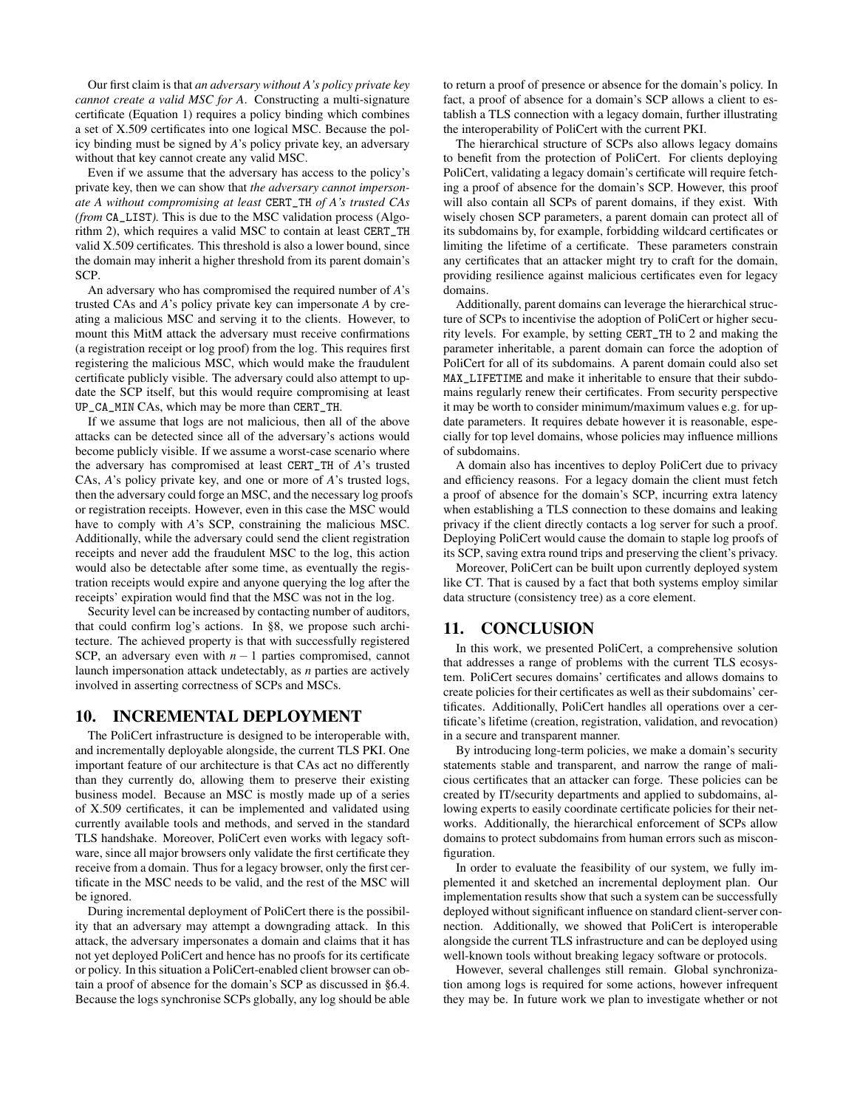Our first claim is that *an adversary without A's policy private key cannot create a valid MSC for A*. Constructing a multi-signature certificate (Equation 1) requires a policy binding which combines a set of X.509 certificates into one logical MSC. Because the policy binding must be signed by *A*'s policy private key, an adversary without that key cannot create any valid MSC.

Even if we assume that the adversary has access to the policy's private key, then we can show that *the adversary cannot impersonate A without compromising at least* CERT\_TH *of A's trusted CAs (from* CA\_LIST*).* This is due to the MSC validation process (Algorithm 2), which requires a valid MSC to contain at least CERT\_TH valid X.509 certificates. This threshold is also a lower bound, since the domain may inherit a higher threshold from its parent domain's SCP.

An adversary who has compromised the required number of *A*'s trusted CAs and *A*'s policy private key can impersonate *A* by creating a malicious MSC and serving it to the clients. However, to mount this MitM attack the adversary must receive confirmations (a registration receipt or log proof) from the log. This requires first registering the malicious MSC, which would make the fraudulent certificate publicly visible. The adversary could also attempt to update the SCP itself, but this would require compromising at least UP\_CA\_MIN CAs, which may be more than CERT\_TH.

If we assume that logs are not malicious, then all of the above attacks can be detected since all of the adversary's actions would become publicly visible. If we assume a worst-case scenario where the adversary has compromised at least CERT\_TH of *A*'s trusted CAs, *A*'s policy private key, and one or more of *A*'s trusted logs, then the adversary could forge an MSC, and the necessary log proofs or registration receipts. However, even in this case the MSC would have to comply with *A*'s SCP, constraining the malicious MSC. Additionally, while the adversary could send the client registration receipts and never add the fraudulent MSC to the log, this action would also be detectable after some time, as eventually the registration receipts would expire and anyone querying the log after the receipts' expiration would find that the MSC was not in the log.

Security level can be increased by contacting number of auditors, that could confirm log's actions. In §8, we propose such architecture. The achieved property is that with successfully registered SCP, an adversary even with  $n-1$  parties compromised, cannot launch impersonation attack undetectably, as *n* parties are actively involved in asserting correctness of SCPs and MSCs.

# 10. INCREMENTAL DEPLOYMENT

The PoliCert infrastructure is designed to be interoperable with, and incrementally deployable alongside, the current TLS PKI. One important feature of our architecture is that CAs act no differently than they currently do, allowing them to preserve their existing business model. Because an MSC is mostly made up of a series of X.509 certificates, it can be implemented and validated using currently available tools and methods, and served in the standard TLS handshake. Moreover, PoliCert even works with legacy software, since all major browsers only validate the first certificate they receive from a domain. Thus for a legacy browser, only the first certificate in the MSC needs to be valid, and the rest of the MSC will be ignored.

During incremental deployment of PoliCert there is the possibility that an adversary may attempt a downgrading attack. In this attack, the adversary impersonates a domain and claims that it has not yet deployed PoliCert and hence has no proofs for its certificate or policy. In this situation a PoliCert-enabled client browser can obtain a proof of absence for the domain's SCP as discussed in §6.4. Because the logs synchronise SCPs globally, any log should be able

to return a proof of presence or absence for the domain's policy. In fact, a proof of absence for a domain's SCP allows a client to establish a TLS connection with a legacy domain, further illustrating the interoperability of PoliCert with the current PKI.

The hierarchical structure of SCPs also allows legacy domains to benefit from the protection of PoliCert. For clients deploying PoliCert, validating a legacy domain's certificate will require fetching a proof of absence for the domain's SCP. However, this proof will also contain all SCPs of parent domains, if they exist. With wisely chosen SCP parameters, a parent domain can protect all of its subdomains by, for example, forbidding wildcard certificates or limiting the lifetime of a certificate. These parameters constrain any certificates that an attacker might try to craft for the domain, providing resilience against malicious certificates even for legacy domains.

Additionally, parent domains can leverage the hierarchical structure of SCPs to incentivise the adoption of PoliCert or higher security levels. For example, by setting CERT\_TH to 2 and making the parameter inheritable, a parent domain can force the adoption of PoliCert for all of its subdomains. A parent domain could also set MAX\_LIFETIME and make it inheritable to ensure that their subdomains regularly renew their certificates. From security perspective it may be worth to consider minimum/maximum values e.g. for update parameters. It requires debate however it is reasonable, especially for top level domains, whose policies may influence millions of subdomains.

A domain also has incentives to deploy PoliCert due to privacy and efficiency reasons. For a legacy domain the client must fetch a proof of absence for the domain's SCP, incurring extra latency when establishing a TLS connection to these domains and leaking privacy if the client directly contacts a log server for such a proof. Deploying PoliCert would cause the domain to staple log proofs of its SCP, saving extra round trips and preserving the client's privacy.

Moreover, PoliCert can be built upon currently deployed system like CT. That is caused by a fact that both systems employ similar data structure (consistency tree) as a core element.

# 11. CONCLUSION

In this work, we presented PoliCert, a comprehensive solution that addresses a range of problems with the current TLS ecosystem. PoliCert secures domains' certificates and allows domains to create policies for their certificates as well as their subdomains' certificates. Additionally, PoliCert handles all operations over a certificate's lifetime (creation, registration, validation, and revocation) in a secure and transparent manner.

By introducing long-term policies, we make a domain's security statements stable and transparent, and narrow the range of malicious certificates that an attacker can forge. These policies can be created by IT/security departments and applied to subdomains, allowing experts to easily coordinate certificate policies for their networks. Additionally, the hierarchical enforcement of SCPs allow domains to protect subdomains from human errors such as misconfiguration.

In order to evaluate the feasibility of our system, we fully implemented it and sketched an incremental deployment plan. Our implementation results show that such a system can be successfully deployed without significant influence on standard client-server connection. Additionally, we showed that PoliCert is interoperable alongside the current TLS infrastructure and can be deployed using well-known tools without breaking legacy software or protocols.

However, several challenges still remain. Global synchronization among logs is required for some actions, however infrequent they may be. In future work we plan to investigate whether or not